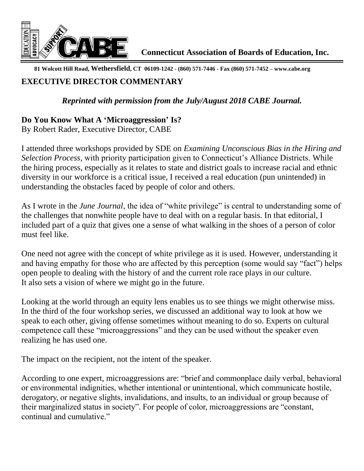

**81 Wolcott Hill Road, Wethersfield, CT 06109-1242 - (860) 571-7446 - Fax (860) 571-7452 – www.cabe.org** 

## **EXECUTIVE DIRECTOR COMMENTARY**

## *Reprinted with permission from the July/August 2018 CABE Journal.*

## **Do You Know What A 'Microaggression' Is?**

By Robert Rader, Executive Director, CABE

I attended three workshops provided by SDE on *Examining Unconscious Bias in the Hiring and Selection Process*, with priority participation given to Connecticut's Alliance Districts. While the hiring process, especially as it relates to state and district goals to increase racial and ethnic diversity in our workforce is a critical issue, I received a real education (pun unintended) in understanding the obstacles faced by people of color and others.

As I wrote in the *June Journal*, the idea of "white privilege" is central to understanding some of the challenges that nonwhite people have to deal with on a regular basis. In that editorial, I included part of a quiz that gives one a sense of what walking in the shoes of a person of color must feel like.

One need not agree with the concept of white privilege as it is used. However, understanding it and having empathy for those who are affected by this perception (some would say "fact") helps open people to dealing with the history of and the current role race plays in our culture. It also sets a vision of where we might go in the future.

Looking at the world through an equity lens enables us to see things we might otherwise miss. In the third of the four workshop series, we discussed an additional way to look at how we speak to each other, giving offense sometimes without meaning to do so. Experts on cultural competence call these "microaggressions" and they can be used without the speaker even realizing he has used one.

The impact on the recipient, not the intent of the speaker.

According to one expert, microaggressions are: "brief and commonplace daily verbal, behavioral or environmental indignities, whether intentional or unintentional, which communicate hostile, derogatory, or negative slights, invalidations, and insults, to an individual or group because of their marginalized status in society". For people of color, microaggressions are "constant, continual and cumulative."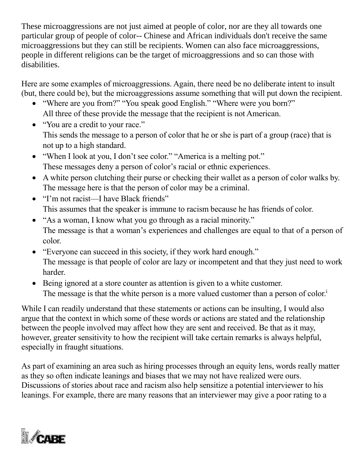These microaggressions are not just aimed at people of color, nor are they all towards one particular group of people of color-- Chinese and African individuals don't receive the same microaggressions but they can still be recipients. Women can also face microaggressions, people in different religions can be the target of microaggressions and so can those with disabilities.

Here are some examples of microaggressions. Again, there need be no deliberate intent to insult (but, there could be), but the microaggressions assume something that will put down the recipient.

- "Where are you from?" "You speak good English." "Where were you born?" All three of these provide the message that the recipient is not American.
- "You are a credit to your race." This sends the message to a person of color that he or she is part of a group (race) that is not up to a high standard.
- "When I look at you, I don't see color." "America is a melting pot." These messages deny a person of color's racial or ethnic experiences.
- A white person clutching their purse or checking their wallet as a person of color walks by. The message here is that the person of color may be a criminal.
- "I'm not racist—I have Black friends" This assumes that the speaker is immune to racism because he has friends of color.
- "As a woman, I know what you go through as a racial minority." The message is that a woman's experiences and challenges are equal to that of a person of color.
- "Everyone can succeed in this society, if they work hard enough." The message is that people of color are lazy or incompetent and that they just need to work harder.
- Being ignored at a store counter as attention is given to a white customer. The message is that the white person is a more valued customer than a person of color.<sup>i</sup>

While I can readily understand that these statements or actions can be insulting, I would also argue that the context in which some of these words or actions are stated and the relationship between the people involved may affect how they are sent and received. Be that as it may, however, greater sensitivity to how the recipient will take certain remarks is always helpful, especially in fraught situations.

As part of examining an area such as hiring processes through an equity lens, words really matter as they so often indicate leanings and biases that we may not have realized were ours. Discussions of stories about race and racism also help sensitize a potential interviewer to his leanings. For example, there are many reasons that an interviewer may give a poor rating to a